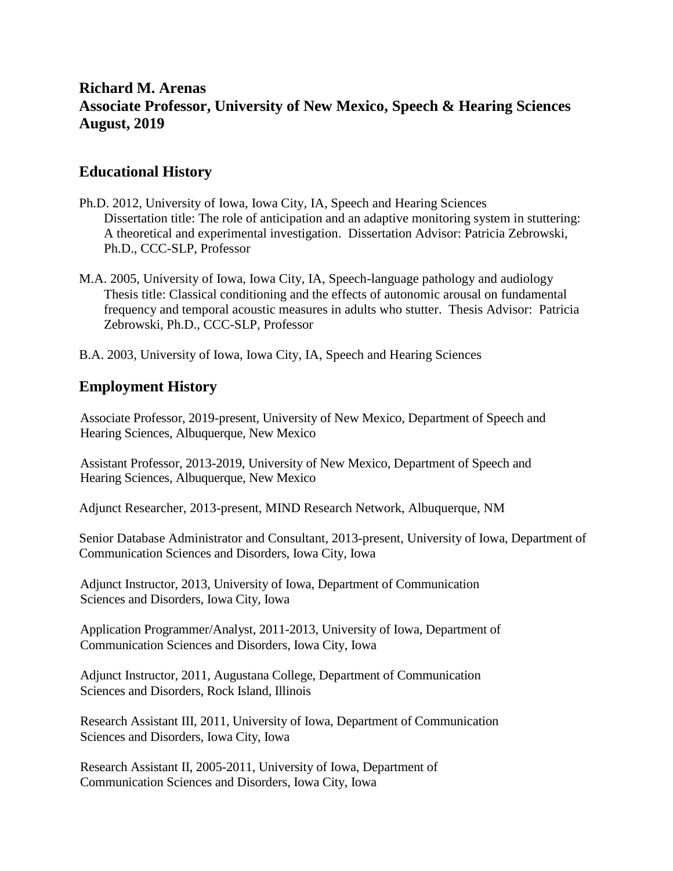### **Richard M. Arenas Associate Professor, University of New Mexico, Speech & Hearing Sciences August, 2019**

### **Educational History**

- Ph.D. 2012, University of Iowa, Iowa City, IA, Speech and Hearing Sciences Dissertation title: The role of anticipation and an adaptive monitoring system in stuttering: A theoretical and experimental investigation. Dissertation Advisor: Patricia Zebrowski, Ph.D., CCC-SLP, Professor
- M.A. 2005, University of Iowa, Iowa City, IA, Speech-language pathology and audiology Thesis title: Classical conditioning and the effects of autonomic arousal on fundamental frequency and temporal acoustic measures in adults who stutter. Thesis Advisor: Patricia Zebrowski, Ph.D., CCC-SLP, Professor
- B.A. 2003, University of Iowa, Iowa City, IA, Speech and Hearing Sciences

#### **Employment History**

Associate Professor, 2019-present, University of New Mexico, Department of Speech and Hearing Sciences, Albuquerque, New Mexico

Assistant Professor, 2013-2019, University of New Mexico, Department of Speech and Hearing Sciences, Albuquerque, New Mexico

Adjunct Researcher, 2013-present, MIND Research Network, Albuquerque, NM

Senior Database Administrator and Consultant, 2013-present, University of Iowa, Department of Communication Sciences and Disorders, Iowa City, Iowa

Adjunct Instructor, 2013, University of Iowa, Department of Communication Sciences and Disorders, Iowa City, Iowa

Application Programmer/Analyst, 2011-2013, University of Iowa, Department of Communication Sciences and Disorders, Iowa City, Iowa

Adjunct Instructor, 2011, Augustana College, Department of Communication Sciences and Disorders, Rock Island, Illinois

Research Assistant III, 2011, University of Iowa, Department of Communication Sciences and Disorders, Iowa City, Iowa

Research Assistant II, 2005-2011, University of Iowa, Department of Communication Sciences and Disorders, Iowa City, Iowa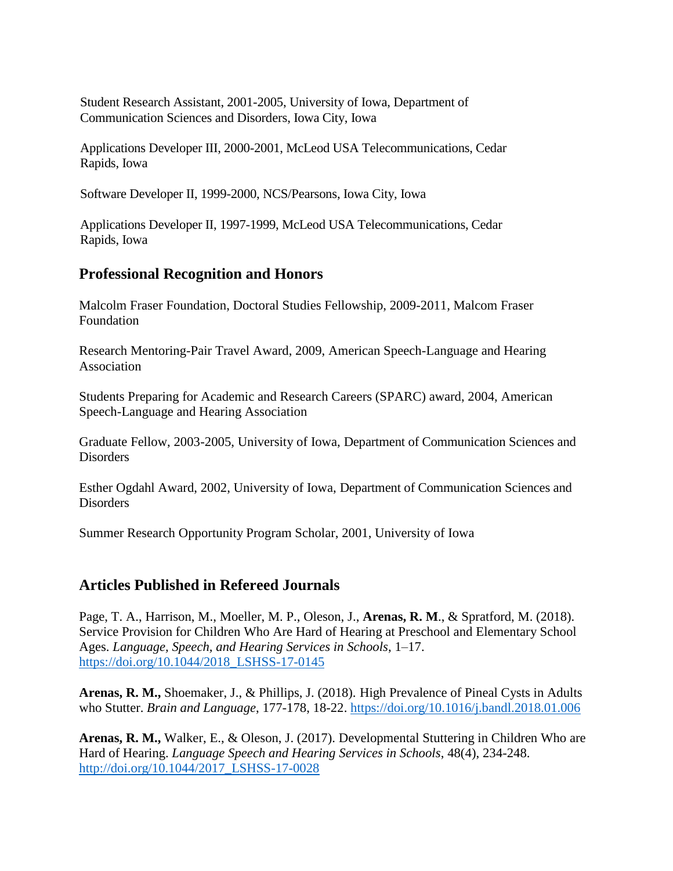Student Research Assistant, 2001-2005, University of Iowa, Department of Communication Sciences and Disorders, Iowa City, Iowa

Applications Developer III, 2000-2001, McLeod USA Telecommunications, Cedar Rapids, Iowa

Software Developer II, 1999-2000, NCS/Pearsons, Iowa City, Iowa

Applications Developer II, 1997-1999, McLeod USA Telecommunications, Cedar Rapids, Iowa

### **Professional Recognition and Honors**

Malcolm Fraser Foundation, Doctoral Studies Fellowship, 2009-2011, Malcom Fraser Foundation

Research Mentoring-Pair Travel Award, 2009, American Speech-Language and Hearing Association

Students Preparing for Academic and Research Careers (SPARC) award, 2004, American Speech-Language and Hearing Association

Graduate Fellow, 2003-2005, University of Iowa, Department of Communication Sciences and Disorders

Esther Ogdahl Award, 2002, University of Iowa, Department of Communication Sciences and Disorders

Summer Research Opportunity Program Scholar, 2001, University of Iowa

### **Articles Published in Refereed Journals**

Page, T. A., Harrison, M., Moeller, M. P., Oleson, J., **Arenas, R. M**., & Spratford, M. (2018). Service Provision for Children Who Are Hard of Hearing at Preschool and Elementary School Ages. *Language, Speech, and Hearing Services in Schools*, 1–17. [https://doi.org/10.1044/2018\\_LSHSS-17-0145](https://doi.org/10.1044/2018_LSHSS-17-0145)

**Arenas, R. M.,** Shoemaker, J., & Phillips, J. (2018). High Prevalence of Pineal Cysts in Adults who Stutter. *Brain and Language*, 177-178, 18-22.<https://doi.org/10.1016/j.bandl.2018.01.006>

**Arenas, R. M.,** Walker, E., & Oleson, J. (2017). Developmental Stuttering in Children Who are Hard of Hearing. *Language Speech and Hearing Services in Schools*, 48(4), 234-248. [http://doi.org/10.1044/2017\\_LSHSS-17-0028](http://doi.org/10.1044/2017_LSHSS-17-0028)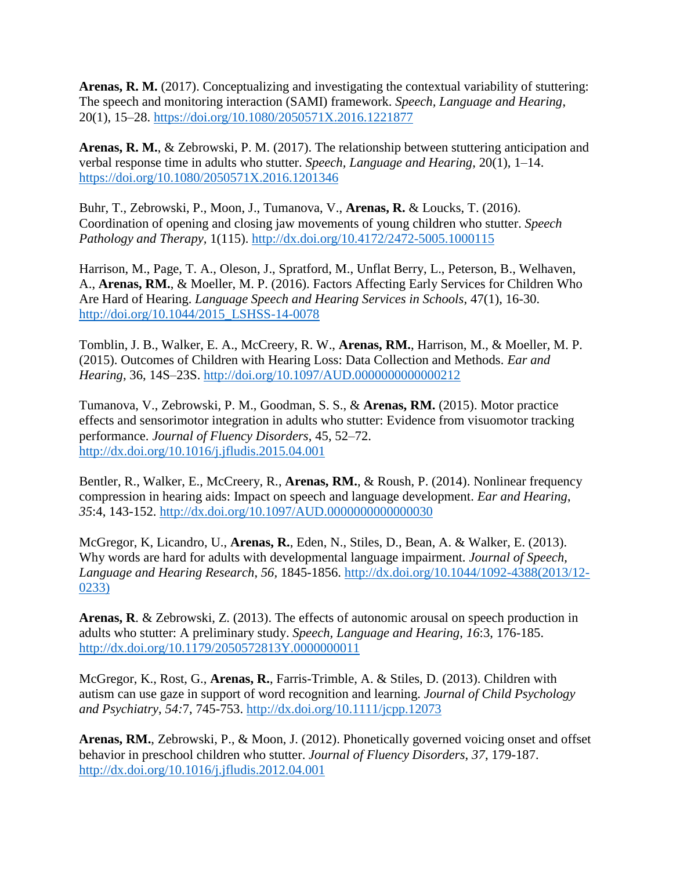**Arenas, R. M.** (2017). Conceptualizing and investigating the contextual variability of stuttering: The speech and monitoring interaction (SAMI) framework. *Speech, Language and Hearing*, 20(1), 15–28.<https://doi.org/10.1080/2050571X.2016.1221877>

**Arenas, R. M.**, & Zebrowski, P. M. (2017). The relationship between stuttering anticipation and verbal response time in adults who stutter. *Speech, Language and Hearing*, 20(1), 1–14. <https://doi.org/10.1080/2050571X.2016.1201346>

Buhr, T., Zebrowski, P., Moon, J., Tumanova, V., **Arenas, R.** & Loucks, T. (2016). Coordination of opening and closing jaw movements of young children who stutter. *Speech Pathology and Therapy,* 1(115). <http://dx.doi.org/10.4172/2472-5005.1000115>

Harrison, M., Page, T. A., Oleson, J., Spratford, M., Unflat Berry, L., Peterson, B., Welhaven, A., **Arenas, RM.**, & Moeller, M. P. (2016). Factors Affecting Early Services for Children Who Are Hard of Hearing. *Language Speech and Hearing Services in Schools*, 47(1), 16-30. [http://doi.org/10.1044/2015\\_LSHSS-14-0078](http://doi.org/10.1044/2015_LSHSS-14-0078)

Tomblin, J. B., Walker, E. A., McCreery, R. W., **Arenas, RM.**, Harrison, M., & Moeller, M. P. (2015). Outcomes of Children with Hearing Loss: Data Collection and Methods. *Ear and Hearing*, 36, 14S–23S.<http://doi.org/10.1097/AUD.0000000000000212>

Tumanova, V., Zebrowski, P. M., Goodman, S. S., & **Arenas, RM.** (2015). Motor practice effects and sensorimotor integration in adults who stutter: Evidence from visuomotor tracking performance. *Journal of Fluency Disorders*, 45, 52–72. <http://dx.doi.org/10.1016/j.jfludis.2015.04.001>

Bentler, R., Walker, E., McCreery, R., **Arenas, RM.**, & Roush, P. (2014). Nonlinear frequency compression in hearing aids: Impact on speech and language development. *Ear and Hearing*, *35*:4, 143-152. <http://dx.doi.org/10.1097/AUD.0000000000000030>

McGregor, K, Licandro, U., **Arenas, R.**, Eden, N., Stiles, D., Bean, A. & Walker, E. (2013). Why words are hard for adults with developmental language impairment. *Journal of Speech, Language and Hearing Research*, *56,* 1845-1856. [http://dx.doi.org/10.1044/1092-4388\(2013/12-](http://dx.doi.org/10.1044/1092-4388(2013/12-0233)) [0233\)](http://dx.doi.org/10.1044/1092-4388(2013/12-0233))

**Arenas, R**. & Zebrowski, Z. (2013). The effects of autonomic arousal on speech production in adults who stutter: A preliminary study. *Speech, Language and Hearing*, *16*:3, 176-185. <http://dx.doi.org/10.1179/2050572813Y.0000000011>

McGregor, K., Rost, G., **Arenas, R.**, Farris-Trimble, A. & Stiles, D. (2013). Children with autism can use gaze in support of word recognition and learning. *Journal of Child Psychology and Psychiatry*, *54:*7, 745-753.<http://dx.doi.org/10.1111/jcpp.12073>

**Arenas, RM.**, Zebrowski, P., & Moon, J. (2012). Phonetically governed voicing onset and offset behavior in preschool children who stutter. *Journal of Fluency Disorders*, *37*, 179-187. <http://dx.doi.org/10.1016/j.jfludis.2012.04.001>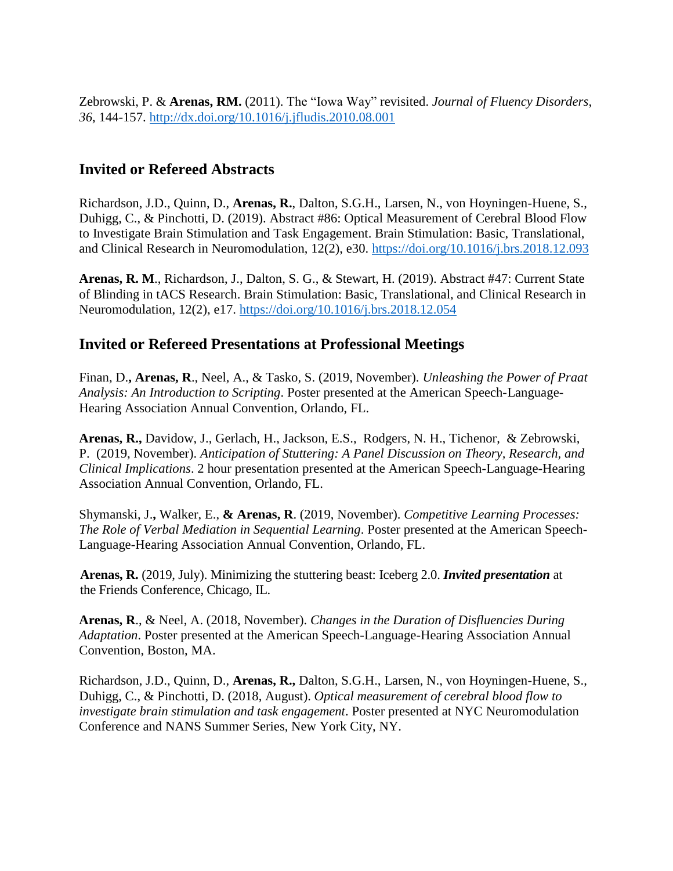Zebrowski, P. & **Arenas, RM.** (2011). The "Iowa Way" revisited. *Journal of Fluency Disorders*, *36*, 144-157.<http://dx.doi.org/10.1016/j.jfludis.2010.08.001>

### **Invited or Refereed Abstracts**

Richardson, J.D., Quinn, D., **Arenas, R.**, Dalton, S.G.H., Larsen, N., von Hoyningen-Huene, S., Duhigg, C., & Pinchotti, D. (2019). Abstract #86: Optical Measurement of Cerebral Blood Flow to Investigate Brain Stimulation and Task Engagement. Brain Stimulation: Basic, Translational, and Clinical Research in Neuromodulation, 12(2), e30.<https://doi.org/10.1016/j.brs.2018.12.093>

**Arenas, R. M**., Richardson, J., Dalton, S. G., & Stewart, H. (2019). Abstract #47: Current State of Blinding in tACS Research. Brain Stimulation: Basic, Translational, and Clinical Research in Neuromodulation, 12(2), e17.<https://doi.org/10.1016/j.brs.2018.12.054>

### **Invited or Refereed Presentations at Professional Meetings**

Finan, D.**, Arenas, R**., Neel, A., & Tasko, S. (2019, November). *Unleashing the Power of Praat Analysis: An Introduction to Scripting*. Poster presented at the American Speech-Language-Hearing Association Annual Convention, Orlando, FL.

**Arenas, R.,** Davidow, J., Gerlach, H., Jackson, E.S., Rodgers, N. H., Tichenor, & Zebrowski, P. (2019, November). *Anticipation of Stuttering: A Panel Discussion on Theory, Research, and Clinical Implications*. 2 hour presentation presented at the American Speech-Language-Hearing Association Annual Convention, Orlando, FL.

Shymanski, J.**,** Walker, E., **& Arenas, R**. (2019, November). *Competitive Learning Processes: The Role of Verbal Mediation in Sequential Learning*. Poster presented at the American Speech-Language-Hearing Association Annual Convention, Orlando, FL.

**Arenas, R.** (2019, July). Minimizing the stuttering beast: Iceberg 2.0. *Invited presentation* at the Friends Conference, Chicago, IL.

**Arenas, R**., & Neel, A. (2018, November). *Changes in the Duration of Disfluencies During Adaptation*. Poster presented at the American Speech-Language-Hearing Association Annual Convention, Boston, MA.

Richardson, J.D., Quinn, D., **Arenas, R.,** Dalton, S.G.H., Larsen, N., von Hoyningen-Huene, S., Duhigg, C., & Pinchotti, D. (2018, August). *Optical measurement of cerebral blood flow to investigate brain stimulation and task engagement*. Poster presented at NYC Neuromodulation Conference and NANS Summer Series, New York City, NY.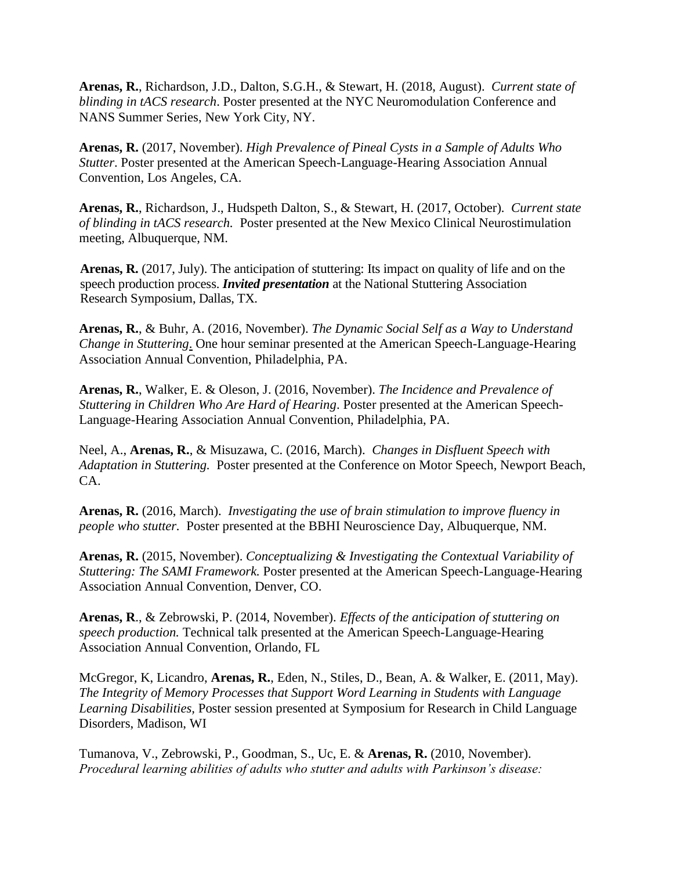**Arenas, R.**, Richardson, J.D., Dalton, S.G.H., & Stewart, H. (2018, August). *Current state of blinding in tACS research*. Poster presented at the NYC Neuromodulation Conference and NANS Summer Series, New York City, NY.

**Arenas, R.** (2017, November). *High Prevalence of Pineal Cysts in a Sample of Adults Who Stutter*. Poster presented at the American Speech-Language-Hearing Association Annual Convention, Los Angeles, CA.

**Arenas, R.**, Richardson, J., Hudspeth Dalton, S., & Stewart, H. (2017, October). *Current state of blinding in tACS research.* Poster presented at the New Mexico Clinical Neurostimulation meeting, Albuquerque, NM.

**Arenas, R.** (2017, July). The anticipation of stuttering: Its impact on quality of life and on the speech production process. *Invited presentation* at the National Stuttering Association Research Symposium, Dallas, TX.

**Arenas, R.**, & Buhr, A. (2016, November). *The Dynamic Social Self as a Way to Understand Change in Stuttering*. One hour seminar presented at the American Speech-Language-Hearing Association Annual Convention, Philadelphia, PA.

**Arenas, R.**, Walker, E. & Oleson, J. (2016, November). *The Incidence and Prevalence of Stuttering in Children Who Are Hard of Hearing*. Poster presented at the American Speech-Language-Hearing Association Annual Convention, Philadelphia, PA.

Neel, A., **Arenas, R.**, & Misuzawa, C. (2016, March). *Changes in Disfluent Speech with Adaptation in Stuttering.* Poster presented at the Conference on Motor Speech, Newport Beach, CA.

**Arenas, R.** (2016, March). *Investigating the use of brain stimulation to improve fluency in people who stutter.* Poster presented at the BBHI Neuroscience Day, Albuquerque, NM.

**Arenas, R.** (2015, November). *Conceptualizing & Investigating the Contextual Variability of Stuttering: The SAMI Framework.* Poster presented at the American Speech-Language-Hearing Association Annual Convention, Denver, CO.

**Arenas, R**., & Zebrowski, P. (2014, November). *Effects of the anticipation of stuttering on speech production.* Technical talk presented at the American Speech-Language-Hearing Association Annual Convention, Orlando, FL

McGregor, K, Licandro, **Arenas, R.**, Eden, N., Stiles, D., Bean, A. & Walker, E. (2011, May). *The Integrity of Memory Processes that Support Word Learning in Students with Language Learning Disabilities,* Poster session presented at Symposium for Research in Child Language Disorders, Madison, WI

Tumanova, V., Zebrowski, P., Goodman, S., Uc, E. & **Arenas, R.** (2010, November). *Procedural learning abilities of adults who stutter and adults with Parkinson's disease:*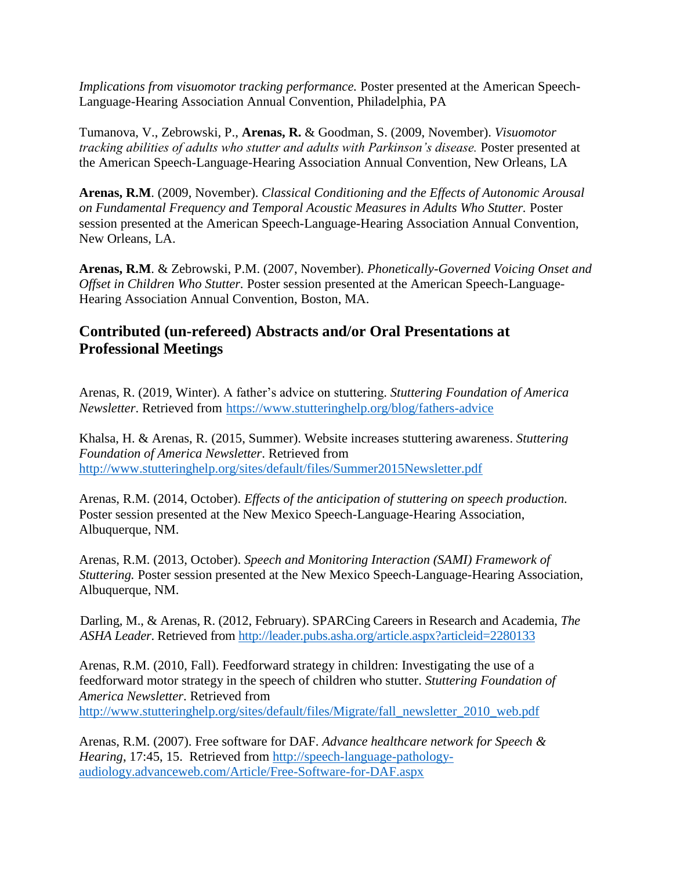*Implications from visuomotor tracking performance.* Poster presented at the American Speech-Language-Hearing Association Annual Convention, Philadelphia, PA

Tumanova, V., Zebrowski, P., **Arenas, R.** & Goodman, S. (2009, November). *Visuomotor tracking abilities of adults who stutter and adults with Parkinson's disease.* Poster presented at the American Speech-Language-Hearing Association Annual Convention, New Orleans, LA

**Arenas, R.M**. (2009, November). *Classical Conditioning and the Effects of Autonomic Arousal on Fundamental Frequency and Temporal Acoustic Measures in Adults Who Stutter.* Poster session presented at the American Speech-Language-Hearing Association Annual Convention, New Orleans, LA.

**Arenas, R.M**. & Zebrowski, P.M. (2007, November). *Phonetically-Governed Voicing Onset and Offset in Children Who Stutter.* Poster session presented at the American Speech-Language-Hearing Association Annual Convention, Boston, MA.

### **Contributed (un-refereed) Abstracts and/or Oral Presentations at Professional Meetings**

Arenas, R. (2019, Winter). A father's advice on stuttering. *Stuttering Foundation of America Newsletter*. Retrieved from <https://www.stutteringhelp.org/blog/fathers-advice>

Khalsa, H. & Arenas, R. (2015, Summer). Website increases stuttering awareness. *Stuttering Foundation of America Newsletter*. Retrieved from <http://www.stutteringhelp.org/sites/default/files/Summer2015Newsletter.pdf>

Arenas, R.M. (2014, October). *Effects of the anticipation of stuttering on speech production.* Poster session presented at the New Mexico Speech-Language-Hearing Association, Albuquerque, NM.

Arenas, R.M. (2013, October). *Speech and Monitoring Interaction (SAMI) Framework of Stuttering.* Poster session presented at the New Mexico Speech-Language-Hearing Association, Albuquerque, NM.

Darling, M., & Arenas, R. (2012, February). SPARCing Careers in Research and Academia, *The ASHA Leader*. Retrieved from<http://leader.pubs.asha.org/article.aspx?articleid=2280133>

Arenas, R.M. (2010, Fall). Feedforward strategy in children: Investigating the use of a feedforward motor strategy in the speech of children who stutter. *Stuttering Foundation of America Newsletter*. Retrieved from [http://www.stutteringhelp.org/sites/default/files/Migrate/fall\\_newsletter\\_2010\\_web.pdf](http://www.stutteringhelp.org/sites/default/files/Migrate/fall_newsletter_2010_web.pdf)

Arenas, R.M. (2007). Free software for DAF. *Advance healthcare network for Speech & Hearing*, 17:45, 15. Retrieved from [http://speech-language-pathology](http://speech-language-pathology-audiology.advanceweb.com/Article/Free-Software-for-DAF.aspx)[audiology.advanceweb.com/Article/Free-Software-for-DAF.aspx](http://speech-language-pathology-audiology.advanceweb.com/Article/Free-Software-for-DAF.aspx)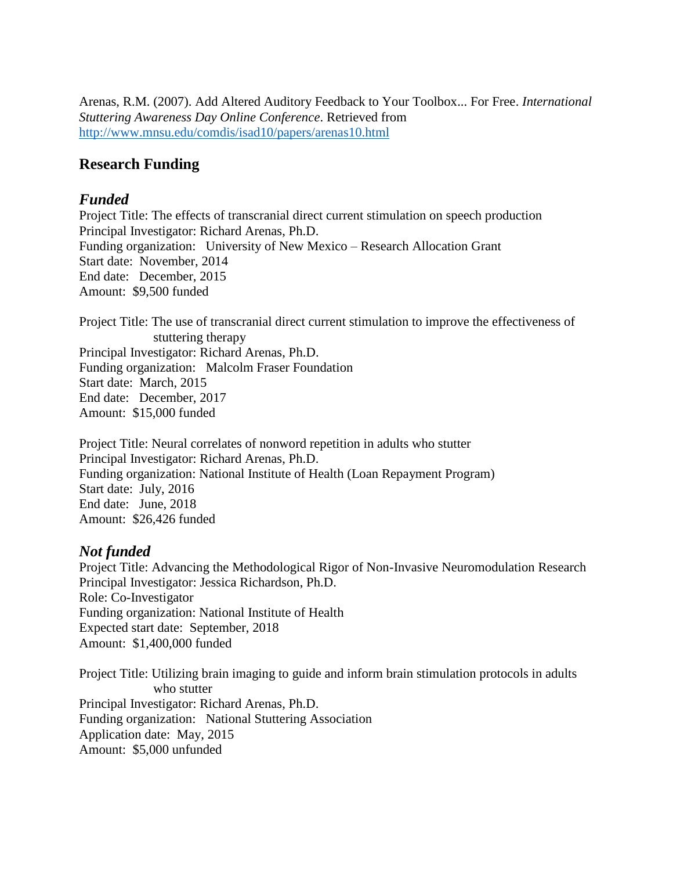Arenas, R.M. (2007). Add Altered Auditory Feedback to Your Toolbox... For Free. *International Stuttering Awareness Day Online Conference*. Retrieved from <http://www.mnsu.edu/comdis/isad10/papers/arenas10.html>

#### **Research Funding**

#### *Funded*

Project Title: The effects of transcranial direct current stimulation on speech production Principal Investigator: Richard Arenas, Ph.D. Funding organization: University of New Mexico – Research Allocation Grant Start date: November, 2014 End date: December, 2015 Amount: \$9,500 funded

Project Title: The use of transcranial direct current stimulation to improve the effectiveness of stuttering therapy Principal Investigator: Richard Arenas, Ph.D. Funding organization: Malcolm Fraser Foundation Start date: March, 2015 End date: December, 2017 Amount: \$15,000 funded

Project Title: Neural correlates of nonword repetition in adults who stutter Principal Investigator: Richard Arenas, Ph.D. Funding organization: National Institute of Health (Loan Repayment Program) Start date: July, 2016 End date: June, 2018 Amount: \$26,426 funded

#### *Not funded*

Project Title: Advancing the Methodological Rigor of Non-Invasive Neuromodulation Research Principal Investigator: Jessica Richardson, Ph.D. Role: Co-Investigator Funding organization: National Institute of Health Expected start date: September, 2018 Amount: \$1,400,000 funded

Project Title: Utilizing brain imaging to guide and inform brain stimulation protocols in adults who stutter Principal Investigator: Richard Arenas, Ph.D. Funding organization: National Stuttering Association Application date: May, 2015 Amount: \$5,000 unfunded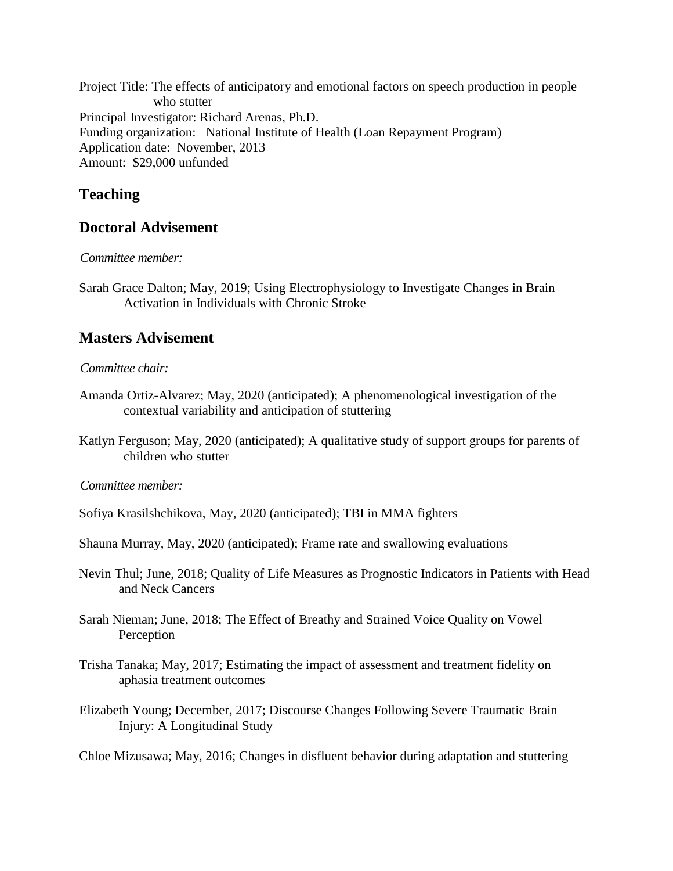Project Title: The effects of anticipatory and emotional factors on speech production in people who stutter Principal Investigator: Richard Arenas, Ph.D. Funding organization: National Institute of Health (Loan Repayment Program) Application date: November, 2013 Amount: \$29,000 unfunded

### **Teaching**

### **Doctoral Advisement**

*Committee member:* 

Sarah Grace Dalton; May, 2019; Using Electrophysiology to Investigate Changes in Brain Activation in Individuals with Chronic Stroke

## **Masters Advisement**

#### *Committee chair:*

- Amanda Ortiz-Alvarez; May, 2020 (anticipated); A phenomenological investigation of the contextual variability and anticipation of stuttering
- Katlyn Ferguson; May, 2020 (anticipated); A qualitative study of support groups for parents of children who stutter

#### *Committee member:*

- Sofiya Krasilshchikova, May, 2020 (anticipated); TBI in MMA fighters
- Shauna Murray, May, 2020 (anticipated); Frame rate and swallowing evaluations
- Nevin Thul; June, 2018; Quality of Life Measures as Prognostic Indicators in Patients with Head and Neck Cancers
- Sarah Nieman; June, 2018; The Effect of Breathy and Strained Voice Quality on Vowel Perception
- Trisha Tanaka; May, 2017; Estimating the impact of assessment and treatment fidelity on aphasia treatment outcomes
- Elizabeth Young; December, 2017; Discourse Changes Following Severe Traumatic Brain Injury: A Longitudinal Study

Chloe Mizusawa; May, 2016; Changes in disfluent behavior during adaptation and stuttering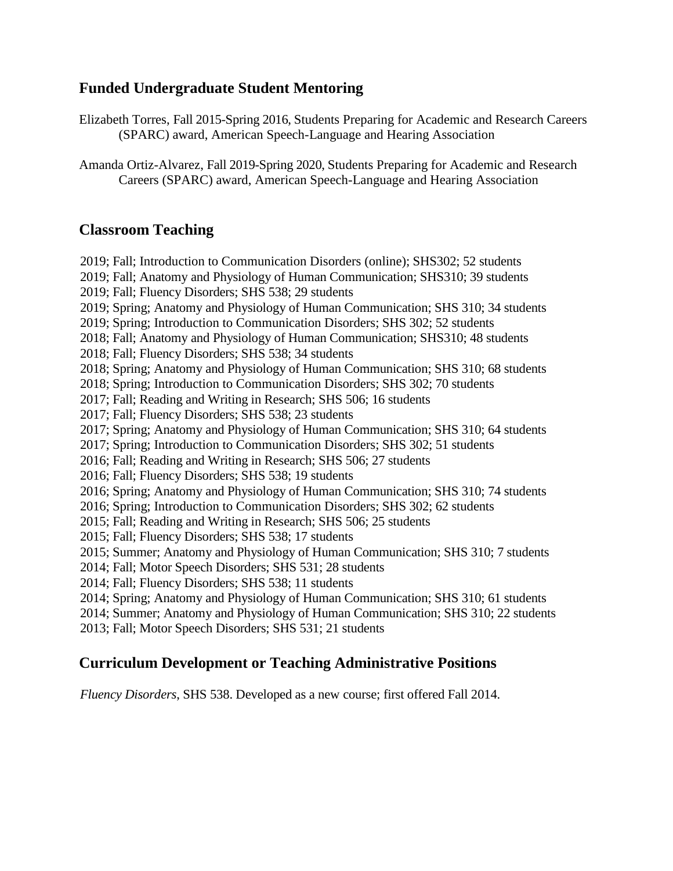### **Funded Undergraduate Student Mentoring**

Elizabeth Torres, Fall 2015-Spring 2016, Students Preparing for Academic and Research Careers (SPARC) award, American Speech-Language and Hearing Association

Amanda Ortiz-Alvarez, Fall 2019-Spring 2020, Students Preparing for Academic and Research Careers (SPARC) award, American Speech-Language and Hearing Association

#### **Classroom Teaching**

2019; Fall; Introduction to Communication Disorders (online); SHS302; 52 students 2019; Fall; Anatomy and Physiology of Human Communication; SHS310; 39 students 2019; Fall; Fluency Disorders; SHS 538; 29 students 2019; Spring; Anatomy and Physiology of Human Communication; SHS 310; 34 students 2019; Spring; Introduction to Communication Disorders; SHS 302; 52 students 2018; Fall; Anatomy and Physiology of Human Communication; SHS310; 48 students 2018; Fall; Fluency Disorders; SHS 538; 34 students 2018; Spring; Anatomy and Physiology of Human Communication; SHS 310; 68 students 2018; Spring; Introduction to Communication Disorders; SHS 302; 70 students 2017; Fall; Reading and Writing in Research; SHS 506; 16 students 2017; Fall; Fluency Disorders; SHS 538; 23 students 2017; Spring; Anatomy and Physiology of Human Communication; SHS 310; 64 students 2017; Spring; Introduction to Communication Disorders; SHS 302; 51 students 2016; Fall; Reading and Writing in Research; SHS 506; 27 students 2016; Fall; Fluency Disorders; SHS 538; 19 students 2016; Spring; Anatomy and Physiology of Human Communication; SHS 310; 74 students 2016; Spring; Introduction to Communication Disorders; SHS 302; 62 students 2015; Fall; Reading and Writing in Research; SHS 506; 25 students 2015; Fall; Fluency Disorders; SHS 538; 17 students 2015; Summer; Anatomy and Physiology of Human Communication; SHS 310; 7 students 2014; Fall; Motor Speech Disorders; SHS 531; 28 students 2014; Fall; Fluency Disorders; SHS 538; 11 students 2014; Spring; Anatomy and Physiology of Human Communication; SHS 310; 61 students 2014; Summer; Anatomy and Physiology of Human Communication; SHS 310; 22 students 2013; Fall; Motor Speech Disorders; SHS 531; 21 students

### **Curriculum Development or Teaching Administrative Positions**

*Fluency Disorders*, SHS 538. Developed as a new course; first offered Fall 2014.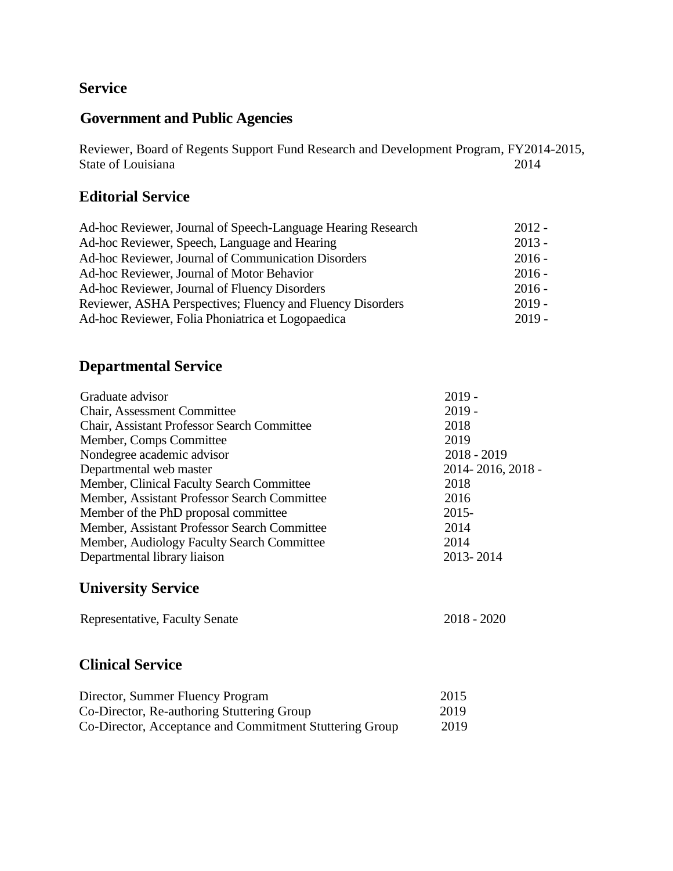### **Service**

### **Government and Public Agencies**

Reviewer, Board of Regents Support Fund Research and Development Program, FY2014-2015, State of Louisiana 2014

### **Editorial Service**

| Ad-hoc Reviewer, Journal of Speech-Language Hearing Research | $2012 -$ |
|--------------------------------------------------------------|----------|
| Ad-hoc Reviewer, Speech, Language and Hearing                | $2013 -$ |
| Ad-hoc Reviewer, Journal of Communication Disorders          | $2016 -$ |
| Ad-hoc Reviewer, Journal of Motor Behavior                   | $2016 -$ |
| Ad-hoc Reviewer, Journal of Fluency Disorders                | $2016 -$ |
| Reviewer, ASHA Perspectives; Fluency and Fluency Disorders   | $2019 -$ |
| Ad-hoc Reviewer, Folia Phoniatrica et Logopaedica            | $2019 -$ |

# **Departmental Service**

| $2019 -$          |
|-------------------|
| $2019 -$          |
| 2018              |
| 2019              |
| $2018 - 2019$     |
| 2014-2016, 2018 - |
| 2018              |
| 2016              |
| $2015 -$          |
| 2014              |
| 2014              |
| 2013-2014         |
|                   |

### **University Service**

Representative, Faculty Senate 2018 - 2020

### **Clinical Service**

| Director, Summer Fluency Program                        | 2015 |
|---------------------------------------------------------|------|
| Co-Director, Re-authoring Stuttering Group              | 2019 |
| Co-Director, Acceptance and Commitment Stuttering Group | 2019 |